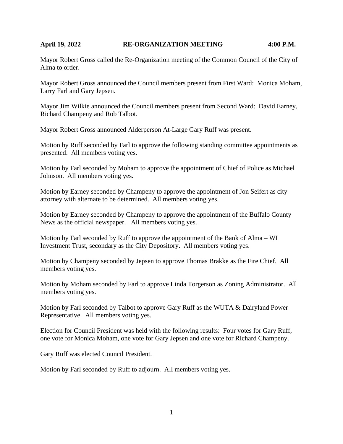### **April 19, 2022 RE-ORGANIZATION MEETING 4:00 P.M.**

Mayor Robert Gross called the Re-Organization meeting of the Common Council of the City of Alma to order.

Mayor Robert Gross announced the Council members present from First Ward: Monica Moham, Larry Farl and Gary Jepsen.

Mayor Jim Wilkie announced the Council members present from Second Ward: David Earney, Richard Champeny and Rob Talbot.

Mayor Robert Gross announced Alderperson At-Large Gary Ruff was present.

Motion by Ruff seconded by Farl to approve the following standing committee appointments as presented. All members voting yes.

Motion by Farl seconded by Moham to approve the appointment of Chief of Police as Michael Johnson. All members voting yes.

Motion by Earney seconded by Champeny to approve the appointment of Jon Seifert as city attorney with alternate to be determined. All members voting yes.

Motion by Earney seconded by Champeny to approve the appointment of the Buffalo County News as the official newspaper. All members voting yes.

Motion by Farl seconded by Ruff to approve the appointment of the Bank of Alma – WI Investment Trust, secondary as the City Depository. All members voting yes.

Motion by Champeny seconded by Jepsen to approve Thomas Brakke as the Fire Chief. All members voting yes.

Motion by Moham seconded by Farl to approve Linda Torgerson as Zoning Administrator. All members voting yes.

Motion by Farl seconded by Talbot to approve Gary Ruff as the WUTA & Dairyland Power Representative. All members voting yes.

Election for Council President was held with the following results: Four votes for Gary Ruff, one vote for Monica Moham, one vote for Gary Jepsen and one vote for Richard Champeny.

Gary Ruff was elected Council President.

Motion by Farl seconded by Ruff to adjourn. All members voting yes.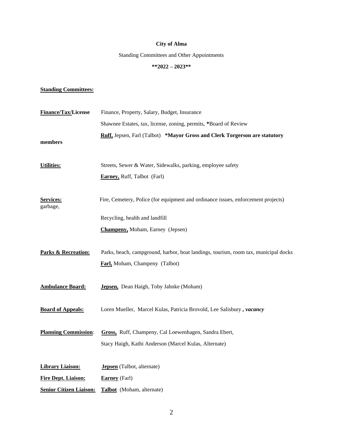## **City of Alma**

Standing Committees and Other Appointments

# **\*\*2022 – 2023\*\***

### **Standing Committees:**

| Finance/Tax/License            | Finance, Property, Salary, Budget, Insurance                                                                          |  |
|--------------------------------|-----------------------------------------------------------------------------------------------------------------------|--|
|                                | Shawnee Estates, tax, license, zoning, permits, *Board of Review                                                      |  |
| members                        | Ruff, Jepsen, Farl (Talbot) *Mayor Gross and Clerk Torgerson are statutory                                            |  |
| <b>Utilities:</b>              | Streets, Sewer & Water, Sidewalks, parking, employee safety                                                           |  |
|                                | <b>Earney, Ruff, Talbot (Farl)</b>                                                                                    |  |
| Services:<br>garbage,          | Fire, Cemetery, Police (for equipment and ordinance issues, enforcement projects)                                     |  |
|                                | Recycling, health and landfill                                                                                        |  |
|                                | <b>Champeny, Moham, Earney (Jepsen)</b>                                                                               |  |
| <b>Parks &amp; Recreation:</b> | Parks, beach, campground, harbor, boat landings, tourism, room tax, municipal docks<br>Farl, Moham, Champeny (Talbot) |  |
| <b>Ambulance Board:</b>        | Jepsen, Dean Haigh, Toby Jahnke (Moham)                                                                               |  |
| <b>Board of Appeals:</b>       | Loren Mueller, Marcel Kulas, Patricia Brovold, Lee Salisbury, vacancy                                                 |  |
| <b>Planning Commission:</b>    | Gross, Ruff, Champeny, Cal Loewenhagen, Sandra Ebert,<br>Stacy Haigh, Kathi Anderson (Marcel Kulas, Alternate)        |  |
| <b>Library Liaison:</b>        | <b>Jepsen</b> (Talbot, alternate)                                                                                     |  |
| <b>Fire Dept. Liaison:</b>     | <b>Earney</b> (Farl)                                                                                                  |  |
| <b>Senior Citizen Liaison:</b> | Talbot (Moham, alternate)                                                                                             |  |